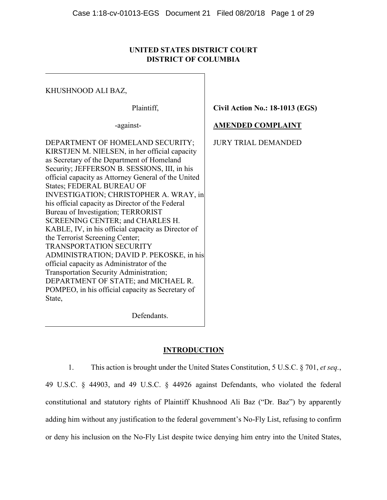# **UNITED STATES DISTRICT COURT DISTRICT OF COLUMBIA**

KHUSHNOOD ALI BAZ,

Plaintiff,

-against-

**Civil Action No.: 18-1013 (EGS)** 

# **AMENDED COMPLAINT**

JURY TRIAL DEMANDED

DEPARTMENT OF HOMELAND SECURITY; KIRSTJEN M. NIELSEN, in her official capacity as Secretary of the Department of Homeland Security; JEFFERSON B. SESSIONS, III, in his official capacity as Attorney General of the United States; FEDERAL BUREAU OF INVESTIGATION; CHRISTOPHER A. WRAY, in his official capacity as Director of the Federal Bureau of Investigation; TERRORIST SCREENING CENTER; and CHARLES H. KABLE, IV, in his official capacity as Director of the Terrorist Screening Center; TRANSPORTATION SECURITY ADMINISTRATION; DAVID P. PEKOSKE, in his official capacity as Administrator of the Transportation Security Administration; DEPARTMENT OF STATE; and MICHAEL R. POMPEO, in his official capacity as Secretary of State,

Defendants.

# **INTRODUCTION**

1. This action is brought under the United States Constitution, 5 U.S.C. § 701, *et seq.*,

49 U.S.C. § 44903, and 49 U.S.C. § 44926 against Defendants, who violated the federal constitutional and statutory rights of Plaintiff Khushnood Ali Baz ("Dr. Baz") by apparently adding him without any justification to the federal government's No-Fly List, refusing to confirm or deny his inclusion on the No-Fly List despite twice denying him entry into the United States,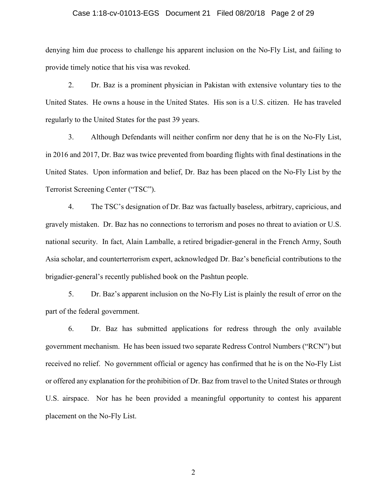#### Case 1:18-cv-01013-EGS Document 21 Filed 08/20/18 Page 2 of 29

denying him due process to challenge his apparent inclusion on the No-Fly List, and failing to provide timely notice that his visa was revoked.

2. Dr. Baz is a prominent physician in Pakistan with extensive voluntary ties to the United States. He owns a house in the United States. His son is a U.S. citizen. He has traveled regularly to the United States for the past 39 years.

3. Although Defendants will neither confirm nor deny that he is on the No-Fly List, in 2016 and 2017, Dr. Baz was twice prevented from boarding flights with final destinations in the United States. Upon information and belief, Dr. Baz has been placed on the No-Fly List by the Terrorist Screening Center ("TSC").

4. The TSC's designation of Dr. Baz was factually baseless, arbitrary, capricious, and gravely mistaken. Dr. Baz has no connections to terrorism and poses no threat to aviation or U.S. national security. In fact, Alain Lamballe, a retired brigadier-general in the French Army, South Asia scholar, and counterterrorism expert, acknowledged Dr. Baz's beneficial contributions to the brigadier-general's recently published book on the Pashtun people.

5. Dr. Baz's apparent inclusion on the No-Fly List is plainly the result of error on the part of the federal government.

6. Dr. Baz has submitted applications for redress through the only available government mechanism. He has been issued two separate Redress Control Numbers ("RCN") but received no relief. No government official or agency has confirmed that he is on the No-Fly List or offered any explanation for the prohibition of Dr. Baz from travel to the United States or through U.S. airspace. Nor has he been provided a meaningful opportunity to contest his apparent placement on the No-Fly List.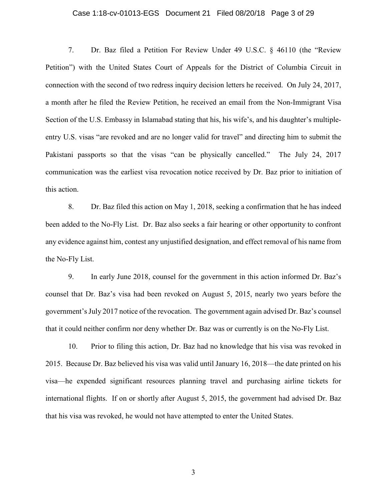## Case 1:18-cv-01013-EGS Document 21 Filed 08/20/18 Page 3 of 29

7. Dr. Baz filed a Petition For Review Under 49 U.S.C. § 46110 (the "Review Petition") with the United States Court of Appeals for the District of Columbia Circuit in connection with the second of two redress inquiry decision letters he received. On July 24, 2017, a month after he filed the Review Petition, he received an email from the Non-Immigrant Visa Section of the U.S. Embassy in Islamabad stating that his, his wife's, and his daughter's multipleentry U.S. visas "are revoked and are no longer valid for travel" and directing him to submit the Pakistani passports so that the visas "can be physically cancelled." The July 24, 2017 communication was the earliest visa revocation notice received by Dr. Baz prior to initiation of this action.

8. Dr. Baz filed this action on May 1, 2018, seeking a confirmation that he has indeed been added to the No-Fly List. Dr. Baz also seeks a fair hearing or other opportunity to confront any evidence against him, contest any unjustified designation, and effect removal of his name from the No-Fly List.

9. In early June 2018, counsel for the government in this action informed Dr. Baz's counsel that Dr. Baz's visa had been revoked on August 5, 2015, nearly two years before the government's July 2017 notice of the revocation. The government again advised Dr. Baz's counsel that it could neither confirm nor deny whether Dr. Baz was or currently is on the No-Fly List.

10. Prior to filing this action, Dr. Baz had no knowledge that his visa was revoked in 2015. Because Dr. Baz believed his visa was valid until January 16, 2018—the date printed on his visa—he expended significant resources planning travel and purchasing airline tickets for international flights. If on or shortly after August 5, 2015, the government had advised Dr. Baz that his visa was revoked, he would not have attempted to enter the United States.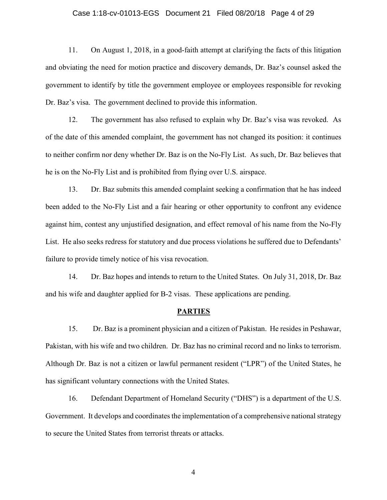## Case 1:18-cv-01013-EGS Document 21 Filed 08/20/18 Page 4 of 29

11. On August 1, 2018, in a good-faith attempt at clarifying the facts of this litigation and obviating the need for motion practice and discovery demands, Dr. Baz's counsel asked the government to identify by title the government employee or employees responsible for revoking Dr. Baz's visa. The government declined to provide this information.

12. The government has also refused to explain why Dr. Baz's visa was revoked. As of the date of this amended complaint, the government has not changed its position: it continues to neither confirm nor deny whether Dr. Baz is on the No-Fly List. As such, Dr. Baz believes that he is on the No-Fly List and is prohibited from flying over U.S. airspace.

13. Dr. Baz submits this amended complaint seeking a confirmation that he has indeed been added to the No-Fly List and a fair hearing or other opportunity to confront any evidence against him, contest any unjustified designation, and effect removal of his name from the No-Fly List. He also seeks redress for statutory and due process violations he suffered due to Defendants' failure to provide timely notice of his visa revocation.

14. Dr. Baz hopes and intends to return to the United States. On July 31, 2018, Dr. Baz and his wife and daughter applied for B-2 visas. These applications are pending.

#### **PARTIES**

15. Dr. Baz is a prominent physician and a citizen of Pakistan. He resides in Peshawar, Pakistan, with his wife and two children. Dr. Baz has no criminal record and no links to terrorism. Although Dr. Baz is not a citizen or lawful permanent resident ("LPR") of the United States, he has significant voluntary connections with the United States.

16. Defendant Department of Homeland Security ("DHS") is a department of the U.S. Government. It develops and coordinates the implementation of a comprehensive national strategy to secure the United States from terrorist threats or attacks.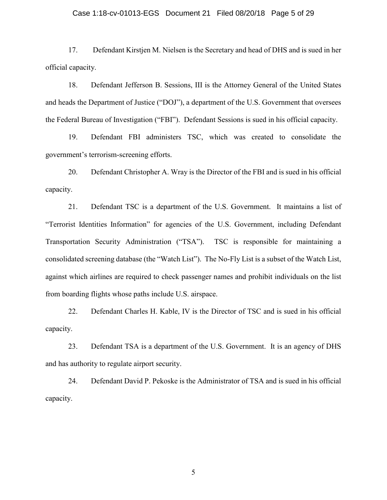#### Case 1:18-cv-01013-EGS Document 21 Filed 08/20/18 Page 5 of 29

17. Defendant Kirstjen M. Nielsen is the Secretary and head of DHS and is sued in her official capacity.

18. Defendant Jefferson B. Sessions, III is the Attorney General of the United States and heads the Department of Justice ("DOJ"), a department of the U.S. Government that oversees the Federal Bureau of Investigation ("FBI"). Defendant Sessions is sued in his official capacity.

19. Defendant FBI administers TSC, which was created to consolidate the government's terrorism-screening efforts.

20. Defendant Christopher A. Wray is the Director of the FBI and is sued in his official capacity.

21. Defendant TSC is a department of the U.S. Government. It maintains a list of "Terrorist Identities Information" for agencies of the U.S. Government, including Defendant Transportation Security Administration ("TSA"). TSC is responsible for maintaining a consolidated screening database (the "Watch List"). The No-Fly List is a subset of the Watch List, against which airlines are required to check passenger names and prohibit individuals on the list from boarding flights whose paths include U.S. airspace.

22. Defendant Charles H. Kable, IV is the Director of TSC and is sued in his official capacity.

23. Defendant TSA is a department of the U.S. Government. It is an agency of DHS and has authority to regulate airport security.

24. Defendant David P. Pekoske is the Administrator of TSA and is sued in his official capacity.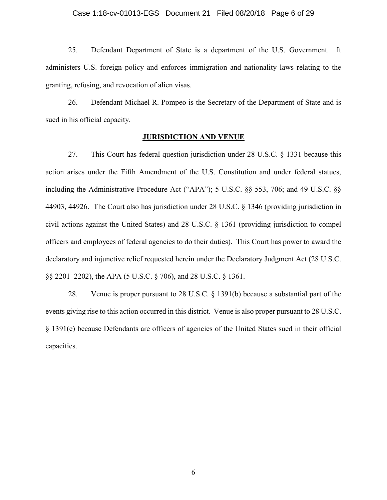#### Case 1:18-cv-01013-EGS Document 21 Filed 08/20/18 Page 6 of 29

25. Defendant Department of State is a department of the U.S. Government. It administers U.S. foreign policy and enforces immigration and nationality laws relating to the granting, refusing, and revocation of alien visas.

26. Defendant Michael R. Pompeo is the Secretary of the Department of State and is sued in his official capacity.

### **JURISDICTION AND VENUE**

27. This Court has federal question jurisdiction under 28 U.S.C. § 1331 because this action arises under the Fifth Amendment of the U.S. Constitution and under federal statues, including the Administrative Procedure Act ("APA"); 5 U.S.C. §§ 553, 706; and 49 U.S.C. §§ 44903, 44926. The Court also has jurisdiction under 28 U.S.C. § 1346 (providing jurisdiction in civil actions against the United States) and 28 U.S.C. § 1361 (providing jurisdiction to compel officers and employees of federal agencies to do their duties). This Court has power to award the declaratory and injunctive relief requested herein under the Declaratory Judgment Act (28 U.S.C. §§ 2201–2202), the APA (5 U.S.C. § 706), and 28 U.S.C. § 1361.

28. Venue is proper pursuant to 28 U.S.C. § 1391(b) because a substantial part of the events giving rise to this action occurred in this district. Venue is also proper pursuant to 28 U.S.C. § 1391(e) because Defendants are officers of agencies of the United States sued in their official capacities.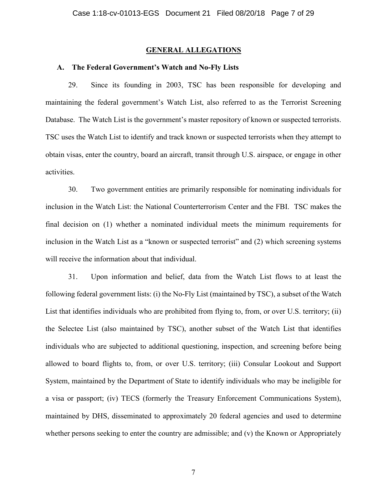#### **GENERAL ALLEGATIONS**

### **A. The Federal Government's Watch and No-Fly Lists**

29. Since its founding in 2003, TSC has been responsible for developing and maintaining the federal government's Watch List, also referred to as the Terrorist Screening Database. The Watch List is the government's master repository of known or suspected terrorists. TSC uses the Watch List to identify and track known or suspected terrorists when they attempt to obtain visas, enter the country, board an aircraft, transit through U.S. airspace, or engage in other activities.

30. Two government entities are primarily responsible for nominating individuals for inclusion in the Watch List: the National Counterterrorism Center and the FBI. TSC makes the final decision on (1) whether a nominated individual meets the minimum requirements for inclusion in the Watch List as a "known or suspected terrorist" and (2) which screening systems will receive the information about that individual.

31. Upon information and belief, data from the Watch List flows to at least the following federal government lists: (i) the No-Fly List (maintained by TSC), a subset of the Watch List that identifies individuals who are prohibited from flying to, from, or over U.S. territory; (ii) the Selectee List (also maintained by TSC), another subset of the Watch List that identifies individuals who are subjected to additional questioning, inspection, and screening before being allowed to board flights to, from, or over U.S. territory; (iii) Consular Lookout and Support System, maintained by the Department of State to identify individuals who may be ineligible for a visa or passport; (iv) TECS (formerly the Treasury Enforcement Communications System), maintained by DHS, disseminated to approximately 20 federal agencies and used to determine whether persons seeking to enter the country are admissible; and (v) the Known or Appropriately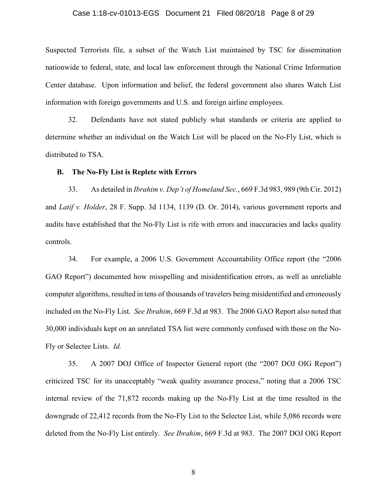## Case 1:18-cv-01013-EGS Document 21 Filed 08/20/18 Page 8 of 29

Suspected Terrorists file, a subset of the Watch List maintained by TSC for dissemination nationwide to federal, state, and local law enforcement through the National Crime Information Center database. Upon information and belief, the federal government also shares Watch List information with foreign governments and U.S. and foreign airline employees.

32. Defendants have not stated publicly what standards or criteria are applied to determine whether an individual on the Watch List will be placed on the No-Fly List, which is distributed to TSA.

#### **B. The No-Fly List is Replete with Errors**

33. As detailed in *Ibrahim v. Dep't of Homeland Sec.*, 669 F.3d 983, 989 (9th Cir. 2012) and *Latif v. Holder*, 28 F. Supp. 3d 1134, 1139 (D. Or. 2014), various government reports and audits have established that the No-Fly List is rife with errors and inaccuracies and lacks quality controls.

34. For example, a 2006 U.S. Government Accountability Office report (the "2006 GAO Report") documented how misspelling and misidentification errors, as well as unreliable computer algorithms, resulted in tens of thousands of travelers being misidentified and erroneously included on the No-Fly List. *See Ibrahim*, 669 F.3d at 983. The 2006 GAO Report also noted that 30,000 individuals kept on an unrelated TSA list were commonly confused with those on the No-Fly or Selectee Lists. *Id.*

35. A 2007 DOJ Office of Inspector General report (the "2007 DOJ OIG Report") criticized TSC for its unacceptably "weak quality assurance process," noting that a 2006 TSC internal review of the 71,872 records making up the No-Fly List at the time resulted in the downgrade of 22,412 records from the No-Fly List to the Selectee List, while 5,086 records were deleted from the No-Fly List entirely. *See Ibrahim*, 669 F.3d at 983. The 2007 DOJ OIG Report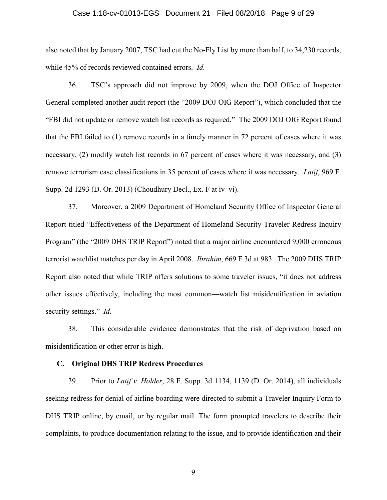## Case 1:18-cv-01013-EGS Document 21 Filed 08/20/18 Page 9 of 29

also noted that by January 2007, TSC had cut the No-Fly List by more than half, to 34,230 records, while 45% of records reviewed contained errors. *Id.*

36. TSC's approach did not improve by 2009, when the DOJ Office of Inspector General completed another audit report (the "2009 DOJ OIG Report"), which concluded that the "FBI did not update or remove watch list records as required." The 2009 DOJ OIG Report found that the FBI failed to (1) remove records in a timely manner in 72 percent of cases where it was necessary, (2) modify watch list records in 67 percent of cases where it was necessary, and (3) remove terrorism case classifications in 35 percent of cases where it was necessary. *Latif*, 969 F. Supp. 2d 1293 (D. Or. 2013) (Choudhury Decl., Ex. F at iv–vi).

37. Moreover, a 2009 Department of Homeland Security Office of Inspector General Report titled "Effectiveness of the Department of Homeland Security Traveler Redress Inquiry Program" (the "2009 DHS TRIP Report") noted that a major airline encountered 9,000 erroneous terrorist watchlist matches per day in April 2008. *Ibrahim*, 669 F.3d at 983. The 2009 DHS TRIP Report also noted that while TRIP offers solutions to some traveler issues, "it does not address other issues effectively, including the most common—watch list misidentification in aviation security settings." *Id.*

38. This considerable evidence demonstrates that the risk of deprivation based on misidentification or other error is high.

#### **C. Original DHS TRIP Redress Procedures**

39. Prior to *Latif v. Holder*, 28 F. Supp. 3d 1134, 1139 (D. Or. 2014), all individuals seeking redress for denial of airline boarding were directed to submit a Traveler Inquiry Form to DHS TRIP online, by email, or by regular mail. The form prompted travelers to describe their complaints, to produce documentation relating to the issue, and to provide identification and their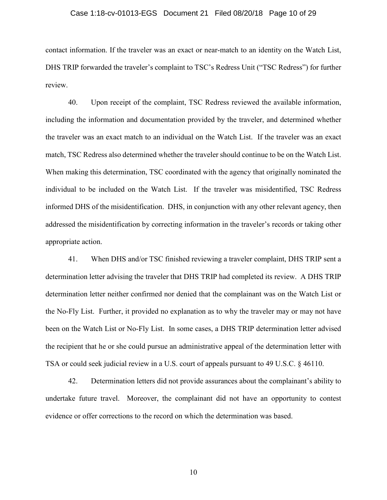## Case 1:18-cv-01013-EGS Document 21 Filed 08/20/18 Page 10 of 29

contact information. If the traveler was an exact or near-match to an identity on the Watch List, DHS TRIP forwarded the traveler's complaint to TSC's Redress Unit ("TSC Redress") for further review.

40. Upon receipt of the complaint, TSC Redress reviewed the available information, including the information and documentation provided by the traveler, and determined whether the traveler was an exact match to an individual on the Watch List. If the traveler was an exact match, TSC Redress also determined whether the traveler should continue to be on the Watch List. When making this determination, TSC coordinated with the agency that originally nominated the individual to be included on the Watch List. If the traveler was misidentified, TSC Redress informed DHS of the misidentification. DHS, in conjunction with any other relevant agency, then addressed the misidentification by correcting information in the traveler's records or taking other appropriate action.

41. When DHS and/or TSC finished reviewing a traveler complaint, DHS TRIP sent a determination letter advising the traveler that DHS TRIP had completed its review. A DHS TRIP determination letter neither confirmed nor denied that the complainant was on the Watch List or the No-Fly List. Further, it provided no explanation as to why the traveler may or may not have been on the Watch List or No-Fly List. In some cases, a DHS TRIP determination letter advised the recipient that he or she could pursue an administrative appeal of the determination letter with TSA or could seek judicial review in a U.S. court of appeals pursuant to 49 U.S.C. § 46110.

42. Determination letters did not provide assurances about the complainant's ability to undertake future travel. Moreover, the complainant did not have an opportunity to contest evidence or offer corrections to the record on which the determination was based.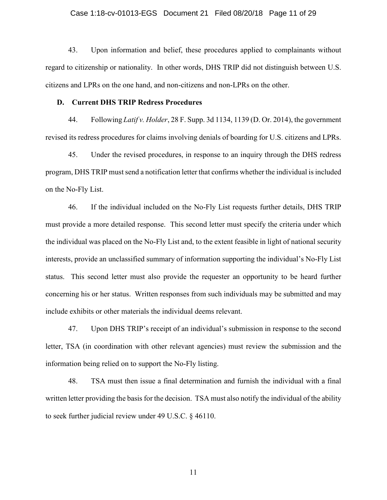### Case 1:18-cv-01013-EGS Document 21 Filed 08/20/18 Page 11 of 29

43. Upon information and belief, these procedures applied to complainants without regard to citizenship or nationality. In other words, DHS TRIP did not distinguish between U.S. citizens and LPRs on the one hand, and non-citizens and non-LPRs on the other.

#### **D. Current DHS TRIP Redress Procedures**

44. Following *Latif v. Holder*, 28 F. Supp. 3d 1134, 1139 (D. Or. 2014), the government revised its redress procedures for claims involving denials of boarding for U.S. citizens and LPRs.

45. Under the revised procedures, in response to an inquiry through the DHS redress program, DHS TRIP must send a notification letter that confirms whether the individual is included on the No-Fly List.

46. If the individual included on the No-Fly List requests further details, DHS TRIP must provide a more detailed response. This second letter must specify the criteria under which the individual was placed on the No-Fly List and, to the extent feasible in light of national security interests, provide an unclassified summary of information supporting the individual's No-Fly List status. This second letter must also provide the requester an opportunity to be heard further concerning his or her status. Written responses from such individuals may be submitted and may include exhibits or other materials the individual deems relevant.

47. Upon DHS TRIP's receipt of an individual's submission in response to the second letter, TSA (in coordination with other relevant agencies) must review the submission and the information being relied on to support the No-Fly listing.

48. TSA must then issue a final determination and furnish the individual with a final written letter providing the basis for the decision. TSA must also notify the individual of the ability to seek further judicial review under 49 U.S.C. § 46110.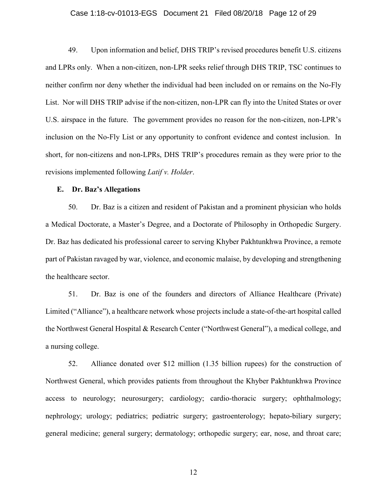#### Case 1:18-cv-01013-EGS Document 21 Filed 08/20/18 Page 12 of 29

49. Upon information and belief, DHS TRIP's revised procedures benefit U.S. citizens and LPRs only. When a non-citizen, non-LPR seeks relief through DHS TRIP, TSC continues to neither confirm nor deny whether the individual had been included on or remains on the No-Fly List. Nor will DHS TRIP advise if the non-citizen, non-LPR can fly into the United States or over U.S. airspace in the future. The government provides no reason for the non-citizen, non-LPR's inclusion on the No-Fly List or any opportunity to confront evidence and contest inclusion. In short, for non-citizens and non-LPRs, DHS TRIP's procedures remain as they were prior to the revisions implemented following *Latif v. Holder*.

#### **E. Dr. Baz's Allegations**

50. Dr. Baz is a citizen and resident of Pakistan and a prominent physician who holds a Medical Doctorate, a Master's Degree, and a Doctorate of Philosophy in Orthopedic Surgery. Dr. Baz has dedicated his professional career to serving Khyber Pakhtunkhwa Province, a remote part of Pakistan ravaged by war, violence, and economic malaise, by developing and strengthening the healthcare sector.

51. Dr. Baz is one of the founders and directors of Alliance Healthcare (Private) Limited ("Alliance"), a healthcare network whose projects include a state-of-the-art hospital called the Northwest General Hospital & Research Center ("Northwest General"), a medical college, and a nursing college.

52. Alliance donated over \$12 million (1.35 billion rupees) for the construction of Northwest General, which provides patients from throughout the Khyber Pakhtunkhwa Province access to neurology; neurosurgery; cardiology; cardio-thoracic surgery; ophthalmology; nephrology; urology; pediatrics; pediatric surgery; gastroenterology; hepato-biliary surgery; general medicine; general surgery; dermatology; orthopedic surgery; ear, nose, and throat care;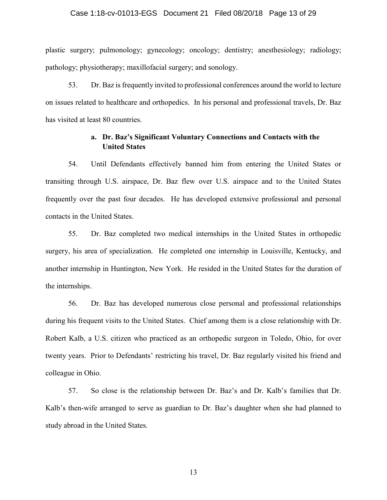#### Case 1:18-cv-01013-EGS Document 21 Filed 08/20/18 Page 13 of 29

plastic surgery; pulmonology; gynecology; oncology; dentistry; anesthesiology; radiology; pathology; physiotherapy; maxillofacial surgery; and sonology.

53. Dr. Baz is frequently invited to professional conferences around the world to lecture on issues related to healthcare and orthopedics. In his personal and professional travels, Dr. Baz has visited at least 80 countries.

## **a. Dr. Baz's Significant Voluntary Connections and Contacts with the United States**

54. Until Defendants effectively banned him from entering the United States or transiting through U.S. airspace, Dr. Baz flew over U.S. airspace and to the United States frequently over the past four decades. He has developed extensive professional and personal contacts in the United States.

55. Dr. Baz completed two medical internships in the United States in orthopedic surgery, his area of specialization. He completed one internship in Louisville, Kentucky, and another internship in Huntington, New York. He resided in the United States for the duration of the internships.

56. Dr. Baz has developed numerous close personal and professional relationships during his frequent visits to the United States. Chief among them is a close relationship with Dr. Robert Kalb, a U.S. citizen who practiced as an orthopedic surgeon in Toledo, Ohio, for over twenty years. Prior to Defendants' restricting his travel, Dr. Baz regularly visited his friend and colleague in Ohio.

57. So close is the relationship between Dr. Baz's and Dr. Kalb's families that Dr. Kalb's then-wife arranged to serve as guardian to Dr. Baz's daughter when she had planned to study abroad in the United States.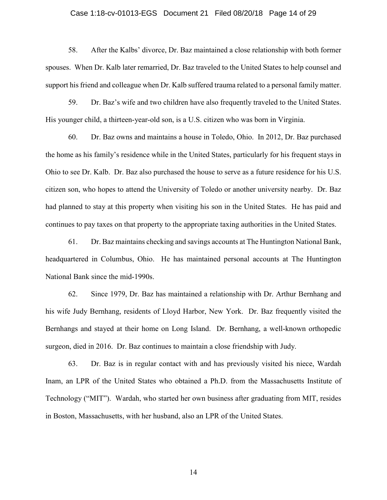## Case 1:18-cv-01013-EGS Document 21 Filed 08/20/18 Page 14 of 29

58. After the Kalbs' divorce, Dr. Baz maintained a close relationship with both former spouses. When Dr. Kalb later remarried, Dr. Baz traveled to the United States to help counsel and support his friend and colleague when Dr. Kalb suffered trauma related to a personal family matter.

59. Dr. Baz's wife and two children have also frequently traveled to the United States. His younger child, a thirteen-year-old son, is a U.S. citizen who was born in Virginia.

60. Dr. Baz owns and maintains a house in Toledo, Ohio. In 2012, Dr. Baz purchased the home as his family's residence while in the United States, particularly for his frequent stays in Ohio to see Dr. Kalb. Dr. Baz also purchased the house to serve as a future residence for his U.S. citizen son, who hopes to attend the University of Toledo or another university nearby. Dr. Baz had planned to stay at this property when visiting his son in the United States. He has paid and continues to pay taxes on that property to the appropriate taxing authorities in the United States.

61. Dr. Baz maintains checking and savings accounts at The Huntington National Bank, headquartered in Columbus, Ohio. He has maintained personal accounts at The Huntington National Bank since the mid-1990s.

62. Since 1979, Dr. Baz has maintained a relationship with Dr. Arthur Bernhang and his wife Judy Bernhang, residents of Lloyd Harbor, New York. Dr. Baz frequently visited the Bernhangs and stayed at their home on Long Island. Dr. Bernhang, a well-known orthopedic surgeon, died in 2016. Dr. Baz continues to maintain a close friendship with Judy.

63. Dr. Baz is in regular contact with and has previously visited his niece, Wardah Inam, an LPR of the United States who obtained a Ph.D. from the Massachusetts Institute of Technology ("MIT"). Wardah, who started her own business after graduating from MIT, resides in Boston, Massachusetts, with her husband, also an LPR of the United States.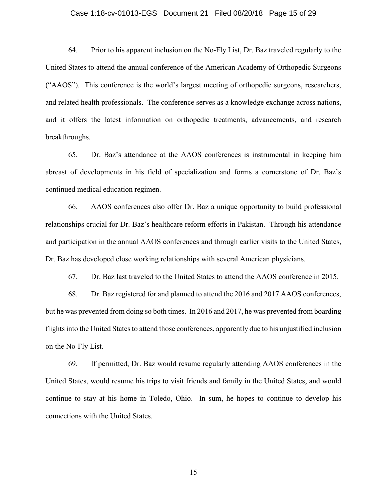## Case 1:18-cv-01013-EGS Document 21 Filed 08/20/18 Page 15 of 29

64. Prior to his apparent inclusion on the No-Fly List, Dr. Baz traveled regularly to the United States to attend the annual conference of the American Academy of Orthopedic Surgeons ("AAOS"). This conference is the world's largest meeting of orthopedic surgeons, researchers, and related health professionals. The conference serves as a knowledge exchange across nations, and it offers the latest information on orthopedic treatments, advancements, and research breakthroughs.

65. Dr. Baz's attendance at the AAOS conferences is instrumental in keeping him abreast of developments in his field of specialization and forms a cornerstone of Dr. Baz's continued medical education regimen.

66. AAOS conferences also offer Dr. Baz a unique opportunity to build professional relationships crucial for Dr. Baz's healthcare reform efforts in Pakistan. Through his attendance and participation in the annual AAOS conferences and through earlier visits to the United States, Dr. Baz has developed close working relationships with several American physicians.

67. Dr. Baz last traveled to the United States to attend the AAOS conference in 2015.

68. Dr. Baz registered for and planned to attend the 2016 and 2017 AAOS conferences, but he was prevented from doing so both times. In 2016 and 2017, he was prevented from boarding flights into the United States to attend those conferences, apparently due to his unjustified inclusion on the No-Fly List.

69. If permitted, Dr. Baz would resume regularly attending AAOS conferences in the United States, would resume his trips to visit friends and family in the United States, and would continue to stay at his home in Toledo, Ohio. In sum, he hopes to continue to develop his connections with the United States.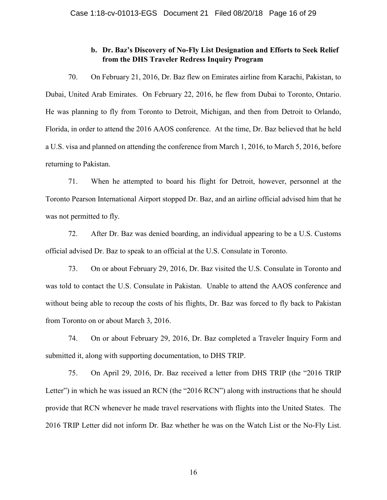# **b. Dr. Baz's Discovery of No-Fly List Designation and Efforts to Seek Relief from the DHS Traveler Redress Inquiry Program**

70. On February 21, 2016, Dr. Baz flew on Emirates airline from Karachi, Pakistan, to Dubai, United Arab Emirates. On February 22, 2016, he flew from Dubai to Toronto, Ontario. He was planning to fly from Toronto to Detroit, Michigan, and then from Detroit to Orlando, Florida, in order to attend the 2016 AAOS conference. At the time, Dr. Baz believed that he held a U.S. visa and planned on attending the conference from March 1, 2016, to March 5, 2016, before returning to Pakistan.

71. When he attempted to board his flight for Detroit, however, personnel at the Toronto Pearson International Airport stopped Dr. Baz, and an airline official advised him that he was not permitted to fly.

72. After Dr. Baz was denied boarding, an individual appearing to be a U.S. Customs official advised Dr. Baz to speak to an official at the U.S. Consulate in Toronto.

73. On or about February 29, 2016, Dr. Baz visited the U.S. Consulate in Toronto and was told to contact the U.S. Consulate in Pakistan. Unable to attend the AAOS conference and without being able to recoup the costs of his flights, Dr. Baz was forced to fly back to Pakistan from Toronto on or about March 3, 2016.

74. On or about February 29, 2016, Dr. Baz completed a Traveler Inquiry Form and submitted it, along with supporting documentation, to DHS TRIP.

75. On April 29, 2016, Dr. Baz received a letter from DHS TRIP (the "2016 TRIP Letter") in which he was issued an RCN (the "2016 RCN") along with instructions that he should provide that RCN whenever he made travel reservations with flights into the United States. The 2016 TRIP Letter did not inform Dr. Baz whether he was on the Watch List or the No-Fly List.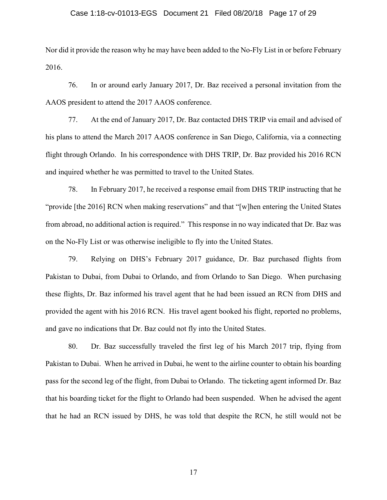### Case 1:18-cv-01013-EGS Document 21 Filed 08/20/18 Page 17 of 29

Nor did it provide the reason why he may have been added to the No-Fly List in or before February 2016.

76. In or around early January 2017, Dr. Baz received a personal invitation from the AAOS president to attend the 2017 AAOS conference.

77. At the end of January 2017, Dr. Baz contacted DHS TRIP via email and advised of his plans to attend the March 2017 AAOS conference in San Diego, California, via a connecting flight through Orlando. In his correspondence with DHS TRIP, Dr. Baz provided his 2016 RCN and inquired whether he was permitted to travel to the United States.

78. In February 2017, he received a response email from DHS TRIP instructing that he "provide [the 2016] RCN when making reservations" and that "[w]hen entering the United States from abroad, no additional action is required." This response in no way indicated that Dr. Baz was on the No-Fly List or was otherwise ineligible to fly into the United States.

79. Relying on DHS's February 2017 guidance, Dr. Baz purchased flights from Pakistan to Dubai, from Dubai to Orlando, and from Orlando to San Diego. When purchasing these flights, Dr. Baz informed his travel agent that he had been issued an RCN from DHS and provided the agent with his 2016 RCN. His travel agent booked his flight, reported no problems, and gave no indications that Dr. Baz could not fly into the United States.

80. Dr. Baz successfully traveled the first leg of his March 2017 trip, flying from Pakistan to Dubai. When he arrived in Dubai, he went to the airline counter to obtain his boarding pass for the second leg of the flight, from Dubai to Orlando. The ticketing agent informed Dr. Baz that his boarding ticket for the flight to Orlando had been suspended. When he advised the agent that he had an RCN issued by DHS, he was told that despite the RCN, he still would not be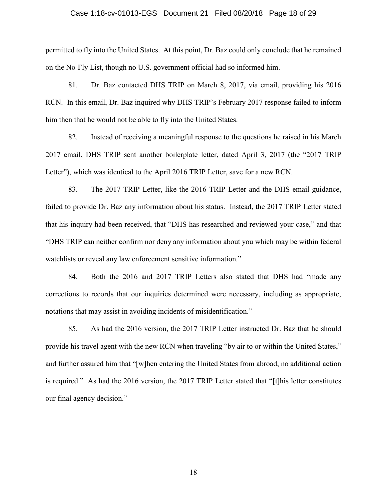## Case 1:18-cv-01013-EGS Document 21 Filed 08/20/18 Page 18 of 29

permitted to fly into the United States. At this point, Dr. Baz could only conclude that he remained on the No-Fly List, though no U.S. government official had so informed him.

81. Dr. Baz contacted DHS TRIP on March 8, 2017, via email, providing his 2016 RCN. In this email, Dr. Baz inquired why DHS TRIP's February 2017 response failed to inform him then that he would not be able to fly into the United States.

82. Instead of receiving a meaningful response to the questions he raised in his March 2017 email, DHS TRIP sent another boilerplate letter, dated April 3, 2017 (the "2017 TRIP Letter"), which was identical to the April 2016 TRIP Letter, save for a new RCN.

83. The 2017 TRIP Letter, like the 2016 TRIP Letter and the DHS email guidance, failed to provide Dr. Baz any information about his status. Instead, the 2017 TRIP Letter stated that his inquiry had been received, that "DHS has researched and reviewed your case," and that "DHS TRIP can neither confirm nor deny any information about you which may be within federal watchlists or reveal any law enforcement sensitive information."

84. Both the 2016 and 2017 TRIP Letters also stated that DHS had "made any corrections to records that our inquiries determined were necessary, including as appropriate, notations that may assist in avoiding incidents of misidentification."

85. As had the 2016 version, the 2017 TRIP Letter instructed Dr. Baz that he should provide his travel agent with the new RCN when traveling "by air to or within the United States," and further assured him that "[w]hen entering the United States from abroad, no additional action is required." As had the 2016 version, the 2017 TRIP Letter stated that "[t]his letter constitutes our final agency decision."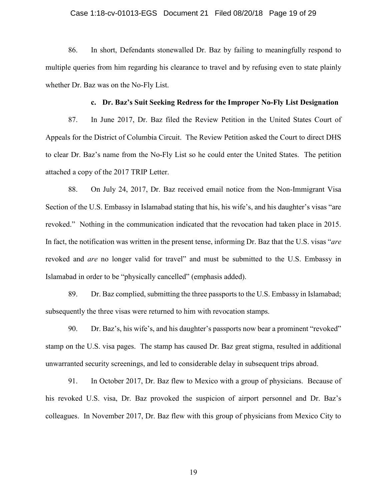### Case 1:18-cv-01013-EGS Document 21 Filed 08/20/18 Page 19 of 29

86. In short, Defendants stonewalled Dr. Baz by failing to meaningfully respond to multiple queries from him regarding his clearance to travel and by refusing even to state plainly whether Dr. Baz was on the No-Fly List.

#### **c. Dr. Baz's Suit Seeking Redress for the Improper No-Fly List Designation**

87. In June 2017, Dr. Baz filed the Review Petition in the United States Court of Appeals for the District of Columbia Circuit. The Review Petition asked the Court to direct DHS to clear Dr. Baz's name from the No-Fly List so he could enter the United States. The petition attached a copy of the 2017 TRIP Letter.

88. On July 24, 2017, Dr. Baz received email notice from the Non-Immigrant Visa Section of the U.S. Embassy in Islamabad stating that his, his wife's, and his daughter's visas "are revoked." Nothing in the communication indicated that the revocation had taken place in 2015. In fact, the notification was written in the present tense, informing Dr. Baz that the U.S. visas "*are* revoked and *are* no longer valid for travel" and must be submitted to the U.S. Embassy in Islamabad in order to be "physically cancelled" (emphasis added).

89. Dr. Baz complied, submitting the three passports to the U.S. Embassy in Islamabad; subsequently the three visas were returned to him with revocation stamps.

90. Dr. Baz's, his wife's, and his daughter's passports now bear a prominent "revoked" stamp on the U.S. visa pages. The stamp has caused Dr. Baz great stigma, resulted in additional unwarranted security screenings, and led to considerable delay in subsequent trips abroad.

91. In October 2017, Dr. Baz flew to Mexico with a group of physicians. Because of his revoked U.S. visa, Dr. Baz provoked the suspicion of airport personnel and Dr. Baz's colleagues. In November 2017, Dr. Baz flew with this group of physicians from Mexico City to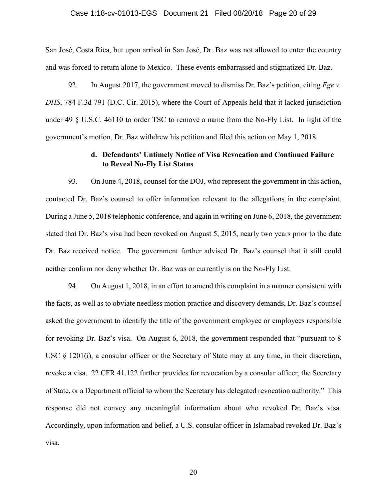#### Case 1:18-cv-01013-EGS Document 21 Filed 08/20/18 Page 20 of 29

San José, Costa Rica, but upon arrival in San José, Dr. Baz was not allowed to enter the country and was forced to return alone to Mexico. These events embarrassed and stigmatized Dr. Baz.

92. In August 2017, the government moved to dismiss Dr. Baz's petition, citing *Ege v. DHS*, 784 F.3d 791 (D.C. Cir. 2015), where the Court of Appeals held that it lacked jurisdiction under 49 § U.S.C. 46110 to order TSC to remove a name from the No-Fly List. In light of the government's motion, Dr. Baz withdrew his petition and filed this action on May 1, 2018.

## **d. Defendants' Untimely Notice of Visa Revocation and Continued Failure to Reveal No-Fly List Status**

93. On June 4, 2018, counsel for the DOJ, who represent the government in this action, contacted Dr. Baz's counsel to offer information relevant to the allegations in the complaint. During a June 5, 2018 telephonic conference, and again in writing on June 6, 2018, the government stated that Dr. Baz's visa had been revoked on August 5, 2015, nearly two years prior to the date Dr. Baz received notice. The government further advised Dr. Baz's counsel that it still could neither confirm nor deny whether Dr. Baz was or currently is on the No-Fly List.

94. On August 1, 2018, in an effort to amend this complaint in a manner consistent with the facts, as well as to obviate needless motion practice and discovery demands, Dr. Baz's counsel asked the government to identify the title of the government employee or employees responsible for revoking Dr. Baz's visa. On August 6, 2018, the government responded that "pursuant to 8 USC § 1201(i), a consular officer or the Secretary of State may at any time, in their discretion, revoke a visa. 22 CFR 41.122 further provides for revocation by a consular officer, the Secretary of State, or a Department official to whom the Secretary has delegated revocation authority." This response did not convey any meaningful information about who revoked Dr. Baz's visa. Accordingly, upon information and belief, a U.S. consular officer in Islamabad revoked Dr. Baz's visa.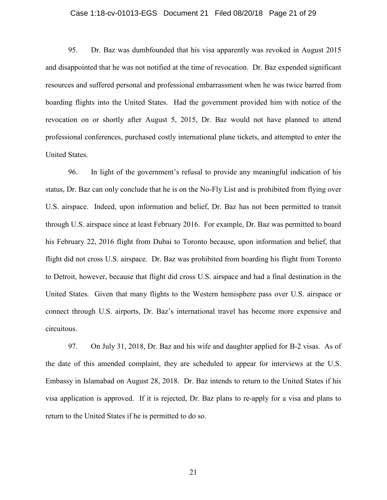### Case 1:18-cv-01013-EGS Document 21 Filed 08/20/18 Page 21 of 29

95. Dr. Baz was dumbfounded that his visa apparently was revoked in August 2015 and disappointed that he was not notified at the time of revocation. Dr. Baz expended significant resources and suffered personal and professional embarrassment when he was twice barred from boarding flights into the United States. Had the government provided him with notice of the revocation on or shortly after August 5, 2015, Dr. Baz would not have planned to attend professional conferences, purchased costly international plane tickets, and attempted to enter the United States.

96. In light of the government's refusal to provide any meaningful indication of his status, Dr. Baz can only conclude that he is on the No-Fly List and is prohibited from flying over U.S. airspace. Indeed, upon information and belief, Dr. Baz has not been permitted to transit through U.S. airspace since at least February 2016. For example, Dr. Baz was permitted to board his February 22, 2016 flight from Dubai to Toronto because, upon information and belief, that flight did not cross U.S. airspace. Dr. Baz was prohibited from boarding his flight from Toronto to Detroit, however, because that flight did cross U.S. airspace and had a final destination in the United States. Given that many flights to the Western hemisphere pass over U.S. airspace or connect through U.S. airports, Dr. Baz's international travel has become more expensive and circuitous.

97. On July 31, 2018, Dr. Baz and his wife and daughter applied for B-2 visas. As of the date of this amended complaint, they are scheduled to appear for interviews at the U.S. Embassy in Islamabad on August 28, 2018. Dr. Baz intends to return to the United States if his visa application is approved. If it is rejected, Dr. Baz plans to re-apply for a visa and plans to return to the United States if he is permitted to do so.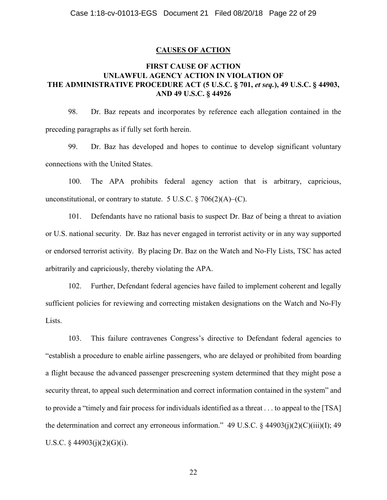### **CAUSES OF ACTION**

# **FIRST CAUSE OF ACTION UNLAWFUL AGENCY ACTION IN VIOLATION OF THE ADMINISTRATIVE PROCEDURE ACT (5 U.S.C. § 701,** *et seq.***), 49 U.S.C. § 44903, AND 49 U.S.C. § 44926**

98. Dr. Baz repeats and incorporates by reference each allegation contained in the preceding paragraphs as if fully set forth herein.

99. Dr. Baz has developed and hopes to continue to develop significant voluntary connections with the United States.

100. The APA prohibits federal agency action that is arbitrary, capricious, unconstitutional, or contrary to statute. 5 U.S.C.  $\S$  706(2)(A)–(C).

101. Defendants have no rational basis to suspect Dr. Baz of being a threat to aviation or U.S. national security. Dr. Baz has never engaged in terrorist activity or in any way supported or endorsed terrorist activity. By placing Dr. Baz on the Watch and No-Fly Lists, TSC has acted arbitrarily and capriciously, thereby violating the APA.

102. Further, Defendant federal agencies have failed to implement coherent and legally sufficient policies for reviewing and correcting mistaken designations on the Watch and No-Fly Lists.

103. This failure contravenes Congress's directive to Defendant federal agencies to "establish a procedure to enable airline passengers, who are delayed or prohibited from boarding a flight because the advanced passenger prescreening system determined that they might pose a security threat, to appeal such determination and correct information contained in the system" and to provide a "timely and fair process for individuals identified as a threat . . . to appeal to the [TSA] the determination and correct any erroneous information." 49 U.S.C. § 44903(j)(2)(C)(iii)(I); 49 U.S.C.  $\S$  44903(j)(2)(G)(j).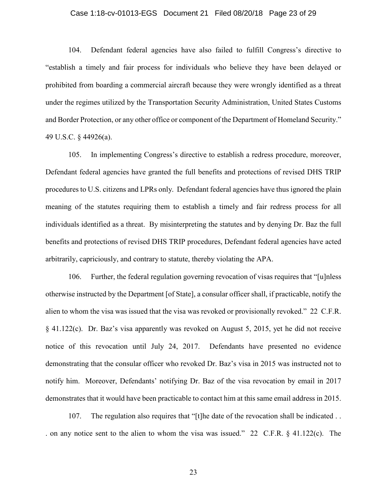## Case 1:18-cv-01013-EGS Document 21 Filed 08/20/18 Page 23 of 29

104. Defendant federal agencies have also failed to fulfill Congress's directive to "establish a timely and fair process for individuals who believe they have been delayed or prohibited from boarding a commercial aircraft because they were wrongly identified as a threat under the regimes utilized by the Transportation Security Administration, United States Customs and Border Protection, or any other office or component of the Department of Homeland Security." 49 U.S.C. § 44926(a).

105. In implementing Congress's directive to establish a redress procedure, moreover, Defendant federal agencies have granted the full benefits and protections of revised DHS TRIP procedures to U.S. citizens and LPRs only. Defendant federal agencies have thus ignored the plain meaning of the statutes requiring them to establish a timely and fair redress process for all individuals identified as a threat. By misinterpreting the statutes and by denying Dr. Baz the full benefits and protections of revised DHS TRIP procedures, Defendant federal agencies have acted arbitrarily, capriciously, and contrary to statute, thereby violating the APA.

106. Further, the federal regulation governing revocation of visas requires that "[u]nless otherwise instructed by the Department [of State], a consular officer shall, if practicable, notify the alien to whom the visa was issued that the visa was revoked or provisionally revoked." 22 C.F.R. § 41.122(c). Dr. Baz's visa apparently was revoked on August 5, 2015, yet he did not receive notice of this revocation until July 24, 2017. Defendants have presented no evidence demonstrating that the consular officer who revoked Dr. Baz's visa in 2015 was instructed not to notify him. Moreover, Defendants' notifying Dr. Baz of the visa revocation by email in 2017 demonstrates that it would have been practicable to contact him at this same email address in 2015.

107. The regulation also requires that "[t]he date of the revocation shall be indicated . . . on any notice sent to the alien to whom the visa was issued." 22 C.F.R. § 41.122(c). The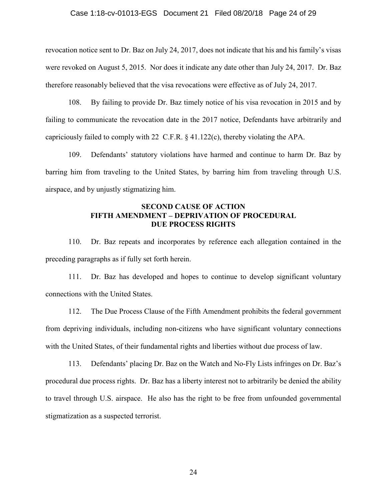### Case 1:18-cv-01013-EGS Document 21 Filed 08/20/18 Page 24 of 29

revocation notice sent to Dr. Baz on July 24, 2017, does not indicate that his and his family's visas were revoked on August 5, 2015. Nor does it indicate any date other than July 24, 2017. Dr. Baz therefore reasonably believed that the visa revocations were effective as of July 24, 2017.

108. By failing to provide Dr. Baz timely notice of his visa revocation in 2015 and by failing to communicate the revocation date in the 2017 notice, Defendants have arbitrarily and capriciously failed to comply with 22 C.F.R. § 41.122(c), thereby violating the APA.

109. Defendants' statutory violations have harmed and continue to harm Dr. Baz by barring him from traveling to the United States, by barring him from traveling through U.S. airspace, and by unjustly stigmatizing him.

### **SECOND CAUSE OF ACTION FIFTH AMENDMENT – DEPRIVATION OF PROCEDURAL DUE PROCESS RIGHTS**

110. Dr. Baz repeats and incorporates by reference each allegation contained in the preceding paragraphs as if fully set forth herein.

111. Dr. Baz has developed and hopes to continue to develop significant voluntary connections with the United States.

112. The Due Process Clause of the Fifth Amendment prohibits the federal government from depriving individuals, including non-citizens who have significant voluntary connections with the United States, of their fundamental rights and liberties without due process of law.

113. Defendants' placing Dr. Baz on the Watch and No-Fly Lists infringes on Dr. Baz's procedural due process rights. Dr. Baz has a liberty interest not to arbitrarily be denied the ability to travel through U.S. airspace. He also has the right to be free from unfounded governmental stigmatization as a suspected terrorist.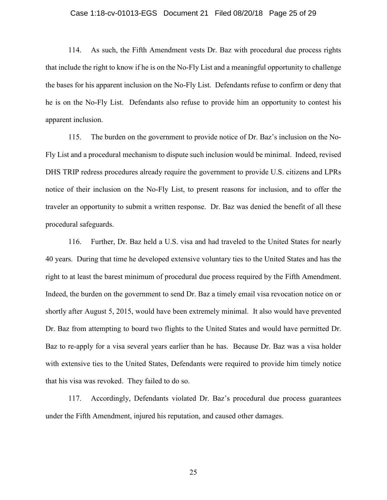#### Case 1:18-cv-01013-EGS Document 21 Filed 08/20/18 Page 25 of 29

114. As such, the Fifth Amendment vests Dr. Baz with procedural due process rights that include the right to know if he is on the No-Fly List and a meaningful opportunity to challenge the bases for his apparent inclusion on the No-Fly List. Defendants refuse to confirm or deny that he is on the No-Fly List. Defendants also refuse to provide him an opportunity to contest his apparent inclusion.

115. The burden on the government to provide notice of Dr. Baz's inclusion on the No-Fly List and a procedural mechanism to dispute such inclusion would be minimal. Indeed, revised DHS TRIP redress procedures already require the government to provide U.S. citizens and LPRs notice of their inclusion on the No-Fly List, to present reasons for inclusion, and to offer the traveler an opportunity to submit a written response. Dr. Baz was denied the benefit of all these procedural safeguards.

116. Further, Dr. Baz held a U.S. visa and had traveled to the United States for nearly 40 years. During that time he developed extensive voluntary ties to the United States and has the right to at least the barest minimum of procedural due process required by the Fifth Amendment. Indeed, the burden on the government to send Dr. Baz a timely email visa revocation notice on or shortly after August 5, 2015, would have been extremely minimal. It also would have prevented Dr. Baz from attempting to board two flights to the United States and would have permitted Dr. Baz to re-apply for a visa several years earlier than he has. Because Dr. Baz was a visa holder with extensive ties to the United States, Defendants were required to provide him timely notice that his visa was revoked. They failed to do so.

117. Accordingly, Defendants violated Dr. Baz's procedural due process guarantees under the Fifth Amendment, injured his reputation, and caused other damages.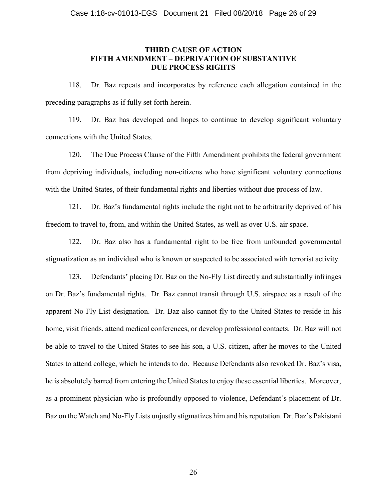### **THIRD CAUSE OF ACTION FIFTH AMENDMENT – DEPRIVATION OF SUBSTANTIVE DUE PROCESS RIGHTS**

118. Dr. Baz repeats and incorporates by reference each allegation contained in the preceding paragraphs as if fully set forth herein.

119. Dr. Baz has developed and hopes to continue to develop significant voluntary connections with the United States.

120. The Due Process Clause of the Fifth Amendment prohibits the federal government from depriving individuals, including non-citizens who have significant voluntary connections with the United States, of their fundamental rights and liberties without due process of law.

121. Dr. Baz's fundamental rights include the right not to be arbitrarily deprived of his freedom to travel to, from, and within the United States, as well as over U.S. air space.

122. Dr. Baz also has a fundamental right to be free from unfounded governmental stigmatization as an individual who is known or suspected to be associated with terrorist activity.

123. Defendants' placing Dr. Baz on the No-Fly List directly and substantially infringes on Dr. Baz's fundamental rights. Dr. Baz cannot transit through U.S. airspace as a result of the apparent No-Fly List designation. Dr. Baz also cannot fly to the United States to reside in his home, visit friends, attend medical conferences, or develop professional contacts. Dr. Baz will not be able to travel to the United States to see his son, a U.S. citizen, after he moves to the United States to attend college, which he intends to do. Because Defendants also revoked Dr. Baz's visa, he is absolutely barred from entering the United States to enjoy these essential liberties. Moreover, as a prominent physician who is profoundly opposed to violence, Defendant's placement of Dr. Baz on the Watch and No-Fly Lists unjustly stigmatizes him and his reputation. Dr. Baz's Pakistani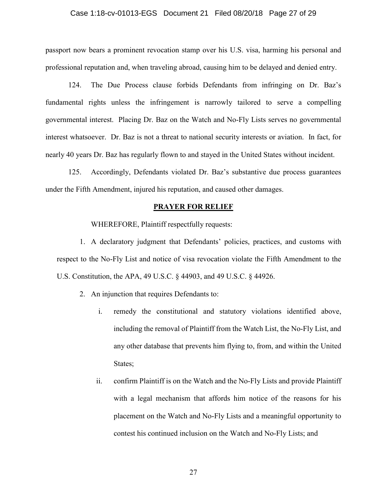### Case 1:18-cv-01013-EGS Document 21 Filed 08/20/18 Page 27 of 29

passport now bears a prominent revocation stamp over his U.S. visa, harming his personal and professional reputation and, when traveling abroad, causing him to be delayed and denied entry.

124. The Due Process clause forbids Defendants from infringing on Dr. Baz's fundamental rights unless the infringement is narrowly tailored to serve a compelling governmental interest. Placing Dr. Baz on the Watch and No-Fly Lists serves no governmental interest whatsoever. Dr. Baz is not a threat to national security interests or aviation. In fact, for nearly 40 years Dr. Baz has regularly flown to and stayed in the United States without incident.

125. Accordingly, Defendants violated Dr. Baz's substantive due process guarantees under the Fifth Amendment, injured his reputation, and caused other damages.

#### **PRAYER FOR RELIEF**

WHEREFORE, Plaintiff respectfully requests:

1. A declaratory judgment that Defendants' policies, practices, and customs with respect to the No-Fly List and notice of visa revocation violate the Fifth Amendment to the U.S. Constitution, the APA, 49 U.S.C. § 44903, and 49 U.S.C. § 44926.

- 2. An injunction that requires Defendants to:
	- i. remedy the constitutional and statutory violations identified above, including the removal of Plaintiff from the Watch List, the No-Fly List, and any other database that prevents him flying to, from, and within the United States;
	- ii. confirm Plaintiff is on the Watch and the No-Fly Lists and provide Plaintiff with a legal mechanism that affords him notice of the reasons for his placement on the Watch and No-Fly Lists and a meaningful opportunity to contest his continued inclusion on the Watch and No-Fly Lists; and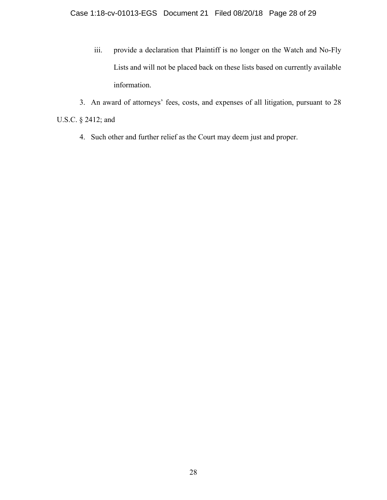- iii. provide a declaration that Plaintiff is no longer on the Watch and No-Fly Lists and will not be placed back on these lists based on currently available information.
- 3. An award of attorneys' fees, costs, and expenses of all litigation, pursuant to 28 U.S.C. § 2412; and
	- 4. Such other and further relief as the Court may deem just and proper.